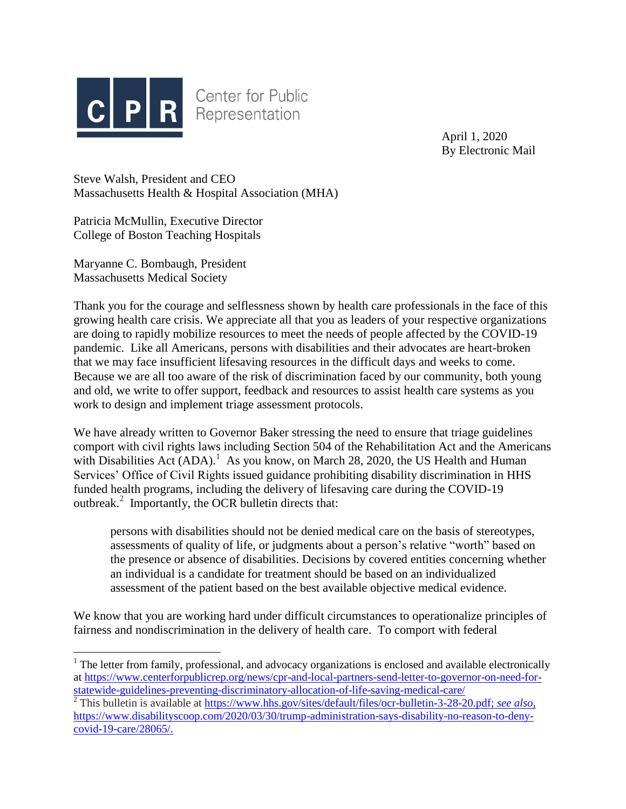

**Center for Public** Representation

> April 1, 2020 By Electronic Mail

Steve Walsh, President and CEO Massachusetts Health & Hospital Association (MHA)

Patricia McMullin, Executive Director College of Boston Teaching Hospitals

Maryanne C. Bombaugh, President Massachusetts Medical Society

 $\overline{a}$ 

Thank you for the courage and selflessness shown by health care professionals in the face of this growing health care crisis. We appreciate all that you as leaders of your respective organizations are doing to rapidly mobilize resources to meet the needs of people affected by the COVID-19 pandemic. Like all Americans, persons with disabilities and their advocates are heart-broken that we may face insufficient lifesaving resources in the difficult days and weeks to come. Because we are all too aware of the risk of discrimination faced by our community, both young and old, we write to offer support, feedback and resources to assist health care systems as you work to design and implement triage assessment protocols.

We have already written to Governor Baker stressing the need to ensure that triage guidelines comport with civil rights laws including Section 504 of the Rehabilitation Act and the Americans with Disabilities Act  $(ADA)$ <sup>1</sup>. As you know, on March 28, 2020, the US Health and Human Services' Office of Civil Rights issued guidance prohibiting disability discrimination in HHS funded health programs, including the delivery of lifesaving care during the COVID-19 outbreak.<sup>2</sup> Importantly, the OCR bulletin directs that:

persons with disabilities should not be denied medical care on the basis of stereotypes, assessments of quality of life, or judgments about a person's relative "worth" based on the presence or absence of disabilities. Decisions by covered entities concerning whether an individual is a candidate for treatment should be based on an individualized assessment of the patient based on the best available objective medical evidence.

We know that you are working hard under difficult circumstances to operationalize principles of fairness and nondiscrimination in the delivery of health care. To comport with federal

<sup>&</sup>lt;sup>1</sup> The letter from family, professional, and advocacy organizations is enclosed and available electronically at [https://www.centerforpublicrep.org/news/cpr-and-local-partners-send-letter-to-governor-on-need-for](https://www.centerforpublicrep.org/news/cpr-and-local-partners-send-letter-to-governor-on-need-for-statewide-guidelines-preventing-discriminatory-allocation-of-life-saving-medical-care/)[statewide-guidelines-preventing-discriminatory-allocation-of-life-saving-medical-care/](https://www.centerforpublicrep.org/news/cpr-and-local-partners-send-letter-to-governor-on-need-for-statewide-guidelines-preventing-discriminatory-allocation-of-life-saving-medical-care/)

<sup>2</sup> This bulletin is available at [https://www.hhs.gov/sites/default/files/ocr-bulletin-3-28-20.pdf;](https://www.hhs.gov/sites/default/files/ocr-bulletin-3-28-20.pdf) *see also*, [https://www.disabilityscoop.com/2020/03/30/trump-administration-says-disability-no-reason-to-deny](https://www.disabilityscoop.com/2020/03/30/trump-administration-says-disability-no-reason-to-deny-covid-19-care/28065/)[covid-19-care/28065/.](https://www.disabilityscoop.com/2020/03/30/trump-administration-says-disability-no-reason-to-deny-covid-19-care/28065/)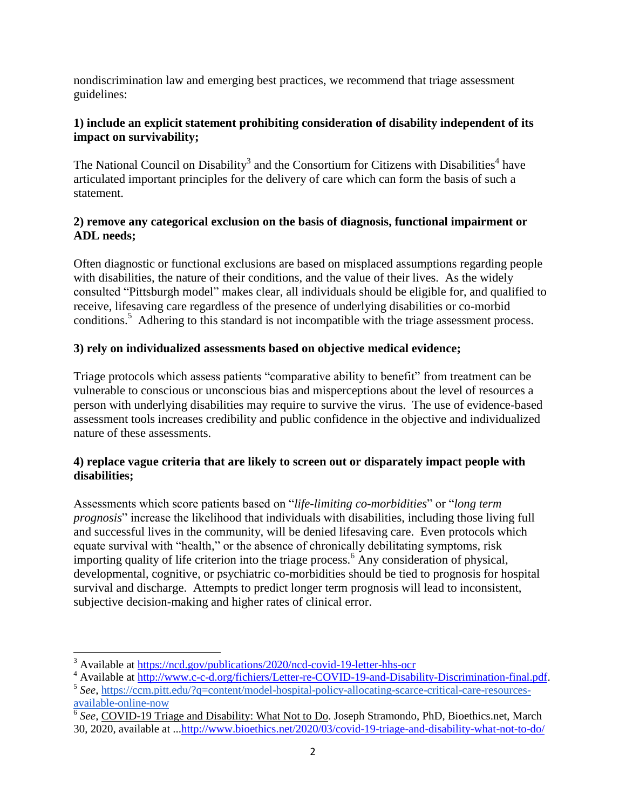nondiscrimination law and emerging best practices, we recommend that triage assessment guidelines:

### **1) include an explicit statement prohibiting consideration of disability independent of its impact on survivability;**

The National Council on Disability<sup>3</sup> and the Consortium for Citizens with Disabilities<sup>4</sup> have articulated important principles for the delivery of care which can form the basis of such a statement.

### **2) remove any categorical exclusion on the basis of diagnosis, functional impairment or ADL needs;**

Often diagnostic or functional exclusions are based on misplaced assumptions regarding people with disabilities, the nature of their conditions, and the value of their lives. As the widely consulted "Pittsburgh model" makes clear, all individuals should be eligible for, and qualified to receive, lifesaving care regardless of the presence of underlying disabilities or co-morbid conditions.<sup>5</sup> Adhering to this standard is not incompatible with the triage assessment process.

# **3) rely on individualized assessments based on objective medical evidence;**

Triage protocols which assess patients "comparative ability to benefit" from treatment can be vulnerable to conscious or unconscious bias and misperceptions about the level of resources a person with underlying disabilities may require to survive the virus. The use of evidence-based assessment tools increases credibility and public confidence in the objective and individualized nature of these assessments.

#### **4) replace vague criteria that are likely to screen out or disparately impact people with disabilities;**

Assessments which score patients based on "*life-limiting co-morbidities*" or "*long term prognosis*" increase the likelihood that individuals with disabilities, including those living full and successful lives in the community, will be denied lifesaving care. Even protocols which equate survival with "health," or the absence of chronically debilitating symptoms, risk importing quality of life criterion into the triage process.<sup>6</sup> Any consideration of physical, developmental, cognitive, or psychiatric co-morbidities should be tied to prognosis for hospital survival and discharge. Attempts to predict longer term prognosis will lead to inconsistent, subjective decision-making and higher rates of clinical error.

 $\overline{a}$ <sup>3</sup> Available at<https://ncd.gov/publications/2020/ncd-covid-19-letter-hhs-ocr>

<sup>&</sup>lt;sup>4</sup> Available at [http://www.c-c-d.org/fichiers/Letter-re-COVID-19-and-Disability-Discrimination-final.pdf.](http://www.c-c-d.org/fichiers/Letter-re-COVID-19-and-Disability-Discrimination-final.pdf)

<sup>&</sup>lt;sup>5</sup> See, [https://ccm.pitt.edu/?q=content/model-hospital-policy-allocating-scarce-critical-care-resources](https://urldefense.proofpoint.com/v2/url?u=https-3A__ccm.pitt.edu_-3Fq-3Dcontent_model-2Dhospital-2Dpolicy-2Dallocating-2Dscarce-2Dcritical-2Dcare-2Dresources-2Davailable-2Donline-2Dnow&d=DwMGaQ&c=WknmpdNpvrlj2B5K1aWVqL1SOiF30547pqSuOmtwXTQ&r=4VECPF6Oyybt0-9QqE3YB2BZ8F_3t1IVddefJZEvbjo&m=19d2RJQ4gKy9FCbxooSrSFfXLM1ptwMA4hit4-XgbFw&s=ZnF_y6ipNm-BXu2Xb6cQtaiOAIZqtK3riL2HLjTdyEo&e=)[available-online-now](https://urldefense.proofpoint.com/v2/url?u=https-3A__ccm.pitt.edu_-3Fq-3Dcontent_model-2Dhospital-2Dpolicy-2Dallocating-2Dscarce-2Dcritical-2Dcare-2Dresources-2Davailable-2Donline-2Dnow&d=DwMGaQ&c=WknmpdNpvrlj2B5K1aWVqL1SOiF30547pqSuOmtwXTQ&r=4VECPF6Oyybt0-9QqE3YB2BZ8F_3t1IVddefJZEvbjo&m=19d2RJQ4gKy9FCbxooSrSFfXLM1ptwMA4hit4-XgbFw&s=ZnF_y6ipNm-BXu2Xb6cQtaiOAIZqtK3riL2HLjTdyEo&e=)

<sup>&</sup>lt;sup>6</sup> See, COVID-19 Triage and Disability: What Not to Do. Joseph Stramondo, PhD, Bioethics.net, March 30, 2020, available at ..[.http://www.bioethics.net/2020/03/covid-19-triage-and-disability-what-not-to-do/](http://www.bioethics.net/2020/03/covid-19-triage-and-disability-what-not-to-do/)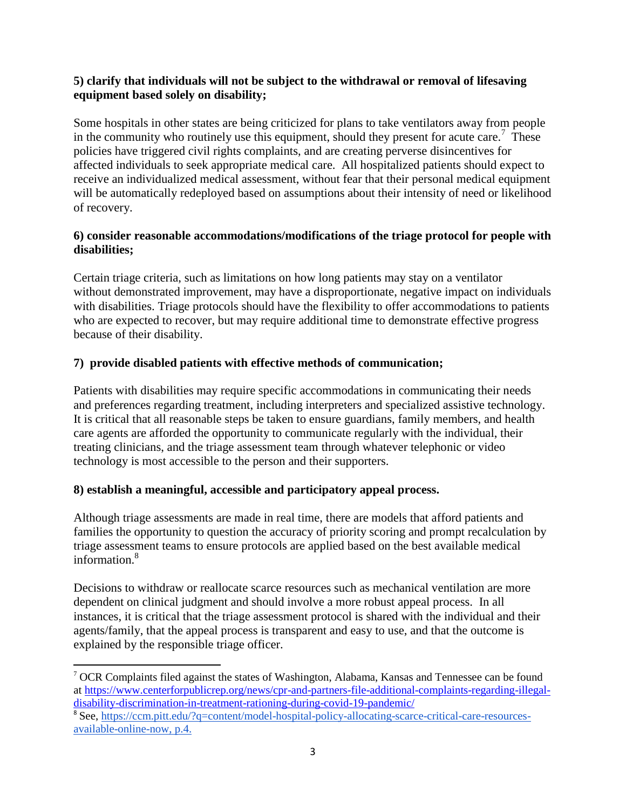#### **5) clarify that individuals will not be subject to the withdrawal or removal of lifesaving equipment based solely on disability;**

Some hospitals in other states are being criticized for plans to take ventilators away from people in the community who routinely use this equipment, should they present for acute care.<sup>7</sup> These policies have triggered civil rights complaints, and are creating perverse disincentives for affected individuals to seek appropriate medical care. All hospitalized patients should expect to receive an individualized medical assessment, without fear that their personal medical equipment will be automatically redeployed based on assumptions about their intensity of need or likelihood of recovery.

### **6) consider reasonable accommodations/modifications of the triage protocol for people with disabilities;**

Certain triage criteria, such as limitations on how long patients may stay on a ventilator without demonstrated improvement, may have a disproportionate, negative impact on individuals with disabilities. Triage protocols should have the flexibility to offer accommodations to patients who are expected to recover, but may require additional time to demonstrate effective progress because of their disability.

# **7) provide disabled patients with effective methods of communication;**

Patients with disabilities may require specific accommodations in communicating their needs and preferences regarding treatment, including interpreters and specialized assistive technology. It is critical that all reasonable steps be taken to ensure guardians, family members, and health care agents are afforded the opportunity to communicate regularly with the individual, their treating clinicians, and the triage assessment team through whatever telephonic or video technology is most accessible to the person and their supporters.

# **8) establish a meaningful, accessible and participatory appeal process.**

 $\overline{a}$ 

Although triage assessments are made in real time, there are models that afford patients and families the opportunity to question the accuracy of priority scoring and prompt recalculation by triage assessment teams to ensure protocols are applied based on the best available medical information.<sup>8</sup>

Decisions to withdraw or reallocate scarce resources such as mechanical ventilation are more dependent on clinical judgment and should involve a more robust appeal process. In all instances, it is critical that the triage assessment protocol is shared with the individual and their agents/family, that the appeal process is transparent and easy to use, and that the outcome is explained by the responsible triage officer.

<sup>7</sup> OCR Complaints filed against the states of Washington, Alabama, Kansas and Tennessee can be found at [https://www.centerforpublicrep.org/news/cpr-and-partners-file-additional-complaints-regarding-illegal](https://www.centerforpublicrep.org/news/cpr-and-partners-file-additional-complaints-regarding-illegal-disability-discrimination-in-treatment-rationing-during-covid-19-pandemic/)[disability-discrimination-in-treatment-rationing-during-covid-19-pandemic/](https://www.centerforpublicrep.org/news/cpr-and-partners-file-additional-complaints-regarding-illegal-disability-discrimination-in-treatment-rationing-during-covid-19-pandemic/)

<sup>&</sup>lt;sup>8</sup> See, [https://ccm.pitt.edu/?q=content/model-hospital-policy-allocating-scarce-critical-care-resources](https://urldefense.proofpoint.com/v2/url?u=https-3A__ccm.pitt.edu_-3Fq-3Dcontent_model-2Dhospital-2Dpolicy-2Dallocating-2Dscarce-2Dcritical-2Dcare-2Dresources-2Davailable-2Donline-2Dnow&d=DwMGaQ&c=WknmpdNpvrlj2B5K1aWVqL1SOiF30547pqSuOmtwXTQ&r=4VECPF6Oyybt0-9QqE3YB2BZ8F_3t1IVddefJZEvbjo&m=19d2RJQ4gKy9FCbxooSrSFfXLM1ptwMA4hit4-XgbFw&s=ZnF_y6ipNm-BXu2Xb6cQtaiOAIZqtK3riL2HLjTdyEo&e=)[available-online-now,](https://urldefense.proofpoint.com/v2/url?u=https-3A__ccm.pitt.edu_-3Fq-3Dcontent_model-2Dhospital-2Dpolicy-2Dallocating-2Dscarce-2Dcritical-2Dcare-2Dresources-2Davailable-2Donline-2Dnow&d=DwMGaQ&c=WknmpdNpvrlj2B5K1aWVqL1SOiF30547pqSuOmtwXTQ&r=4VECPF6Oyybt0-9QqE3YB2BZ8F_3t1IVddefJZEvbjo&m=19d2RJQ4gKy9FCbxooSrSFfXLM1ptwMA4hit4-XgbFw&s=ZnF_y6ipNm-BXu2Xb6cQtaiOAIZqtK3riL2HLjTdyEo&e=) p.4.